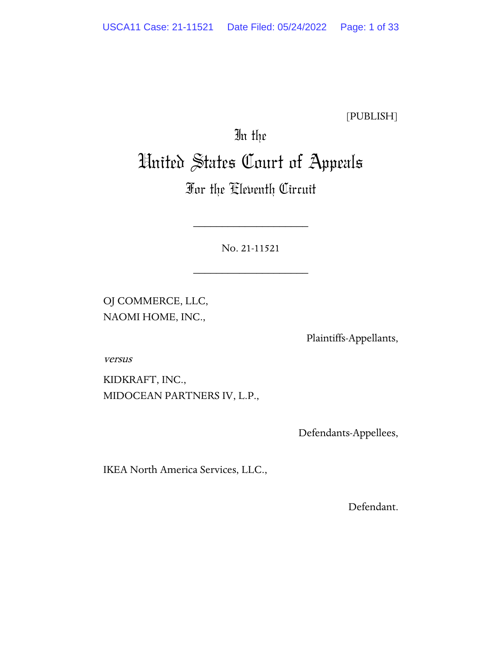[PUBLISH]

# In the United States Court of Appeals

# For the Eleventh Circuit

No. 21-11521

\_\_\_\_\_\_\_\_\_\_\_\_\_\_\_\_\_\_\_\_

\_\_\_\_\_\_\_\_\_\_\_\_\_\_\_\_\_\_\_\_

OJ COMMERCE, LLC, NAOMI HOME, INC.,

Plaintiffs-Appellants,

versus

KIDKRAFT, INC., MIDOCEAN PARTNERS IV, L.P.,

Defendants-Appellees,

IKEA North America Services, LLC.,

Defendant.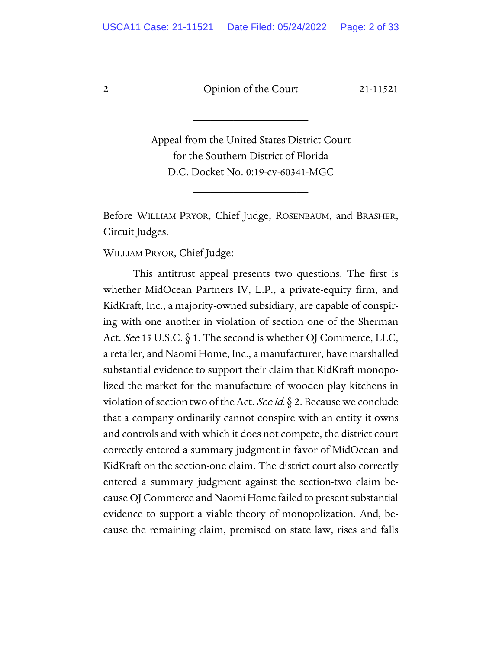\_\_\_\_\_\_\_\_\_\_\_\_\_\_\_\_\_\_\_\_

Appeal from the United States District Court for the Southern District of Florida D.C. Docket No. 0:19-cv-60341-MGC

\_\_\_\_\_\_\_\_\_\_\_\_\_\_\_\_\_\_\_\_

Before WILLIAM PRYOR, Chief Judge, ROSENBAUM, and BRASHER, Circuit Judges.

WILLIAM PRYOR, Chief Judge:

This antitrust appeal presents two questions. The first is whether MidOcean Partners IV, L.P., a private-equity firm, and KidKraft, Inc., a majority-owned subsidiary, are capable of conspiring with one another in violation of section one of the Sherman Act. See 15 U.S.C.  $\S$  1. The second is whether OJ Commerce, LLC, a retailer, and Naomi Home, Inc., a manufacturer, have marshalled substantial evidence to support their claim that KidKraft monopolized the market for the manufacture of wooden play kitchens in violation of section two of the Act. See id.  $\S$  2. Because we conclude that a company ordinarily cannot conspire with an entity it owns and controls and with which it does not compete, the district court correctly entered a summary judgment in favor of MidOcean and KidKraft on the section-one claim. The district court also correctly entered a summary judgment against the section-two claim because OJ Commerce and Naomi Home failed to present substantial evidence to support a viable theory of monopolization. And, because the remaining claim, premised on state law, rises and falls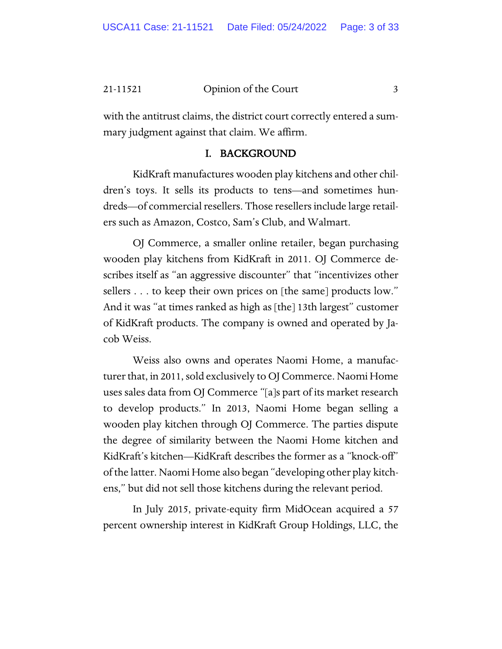with the antitrust claims, the district court correctly entered a summary judgment against that claim. We affirm.

#### I. BACKGROUND

KidKraft manufactures wooden play kitchens and other children's toys. It sells its products to tens—and sometimes hundreds—of commercial resellers. Those resellers include large retailers such as Amazon, Costco, Sam's Club, and Walmart.

OJ Commerce, a smaller online retailer, began purchasing wooden play kitchens from KidKraft in 2011. OJ Commerce describes itself as "an aggressive discounter" that "incentivizes other sellers . . . to keep their own prices on [the same] products low." And it was "at times ranked as high as [the] 13th largest" customer of KidKraft products. The company is owned and operated by Jacob Weiss.

Weiss also owns and operates Naomi Home, a manufacturer that, in 2011, sold exclusively to OJ Commerce. Naomi Home uses sales data from OJ Commerce "[a]s part of its market research to develop products." In 2013, Naomi Home began selling a wooden play kitchen through OJ Commerce. The parties dispute the degree of similarity between the Naomi Home kitchen and KidKraft's kitchen—KidKraft describes the former as a "knock-off" of the latter. Naomi Home also began "developing other play kitchens," but did not sell those kitchens during the relevant period.

In July 2015, private-equity firm MidOcean acquired a 57 percent ownership interest in KidKraft Group Holdings, LLC, the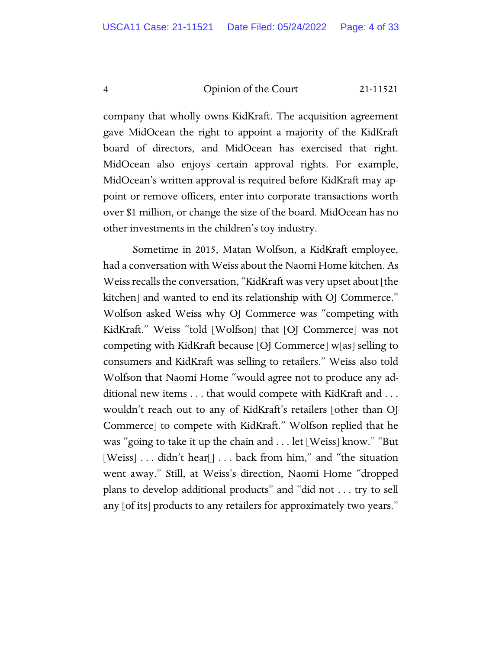company that wholly owns KidKraft. The acquisition agreement gave MidOcean the right to appoint a majority of the KidKraft board of directors, and MidOcean has exercised that right. MidOcean also enjoys certain approval rights. For example, MidOcean's written approval is required before KidKraft may appoint or remove officers, enter into corporate transactions worth over \$1 million, or change the size of the board. MidOcean has no other investments in the children's toy industry.

Sometime in 2015, Matan Wolfson, a KidKraft employee, had a conversation with Weiss about the Naomi Home kitchen. As Weiss recalls the conversation, "KidKraft was very upset about [the kitchen] and wanted to end its relationship with OJ Commerce." Wolfson asked Weiss why OJ Commerce was "competing with KidKraft." Weiss "told [Wolfson] that [OJ Commerce] was not competing with KidKraft because [OJ Commerce] w[as] selling to consumers and KidKraft was selling to retailers." Weiss also told Wolfson that Naomi Home "would agree not to produce any additional new items . . . that would compete with KidKraft and . . . wouldn't reach out to any of KidKraft's retailers [other than OJ Commerce] to compete with KidKraft." Wolfson replied that he was "going to take it up the chain and . . . let [Weiss] know." "But [Weiss] . . . didn't hear[] . . . back from him," and "the situation went away." Still, at Weiss's direction, Naomi Home "dropped plans to develop additional products" and "did not . . . try to sell any [of its] products to any retailers for approximately two years."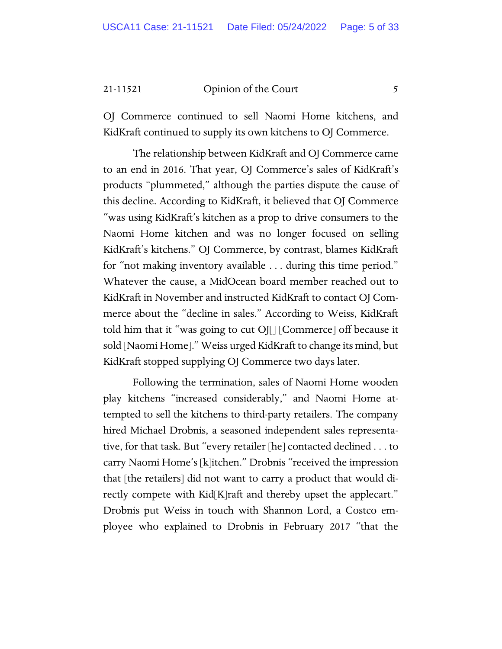OJ Commerce continued to sell Naomi Home kitchens, and KidKraft continued to supply its own kitchens to OJ Commerce.

The relationship between KidKraft and OJ Commerce came to an end in 2016. That year, OJ Commerce's sales of KidKraft's products "plummeted," although the parties dispute the cause of this decline. According to KidKraft, it believed that OJ Commerce "was using KidKraft's kitchen as a prop to drive consumers to the Naomi Home kitchen and was no longer focused on selling KidKraft's kitchens." OJ Commerce, by contrast, blames KidKraft for "not making inventory available . . . during this time period." Whatever the cause, a MidOcean board member reached out to KidKraft in November and instructed KidKraft to contact OJ Commerce about the "decline in sales." According to Weiss, KidKraft told him that it "was going to cut OJ[] [Commerce] off because it sold [Naomi Home]." Weiss urged KidKraft to change its mind, but KidKraft stopped supplying OJ Commerce two days later.

Following the termination, sales of Naomi Home wooden play kitchens "increased considerably," and Naomi Home attempted to sell the kitchens to third-party retailers. The company hired Michael Drobnis, a seasoned independent sales representative, for that task. But "every retailer [he] contacted declined . . . to carry Naomi Home's [k]itchen." Drobnis "received the impression that [the retailers] did not want to carry a product that would directly compete with Kid[K]raft and thereby upset the applecart." Drobnis put Weiss in touch with Shannon Lord, a Costco employee who explained to Drobnis in February 2017 "that the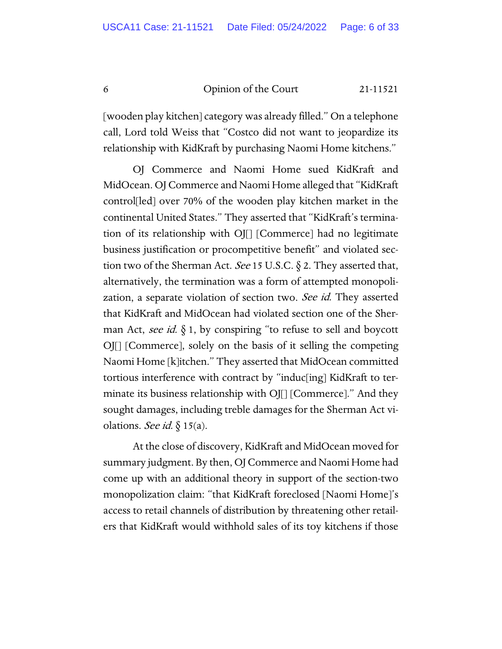[wooden play kitchen] category was already filled." On a telephone call, Lord told Weiss that "Costco did not want to jeopardize its relationship with KidKraft by purchasing Naomi Home kitchens."

OJ Commerce and Naomi Home sued KidKraft and MidOcean. OJ Commerce and Naomi Home alleged that "KidKraft control[led] over 70% of the wooden play kitchen market in the continental United States." They asserted that "KidKraft's termination of its relationship with OJ[] [Commerce] had no legitimate business justification or procompetitive benefit" and violated section two of the Sherman Act. See 15 U.S.C.  $\S$  2. They asserted that, alternatively, the termination was a form of attempted monopolization, a separate violation of section two. See id. They asserted that KidKraft and MidOcean had violated section one of the Sherman Act, see id.  $\S$  1, by conspiring "to refuse to sell and boycott OJ[] [Commerce], solely on the basis of it selling the competing Naomi Home [k]itchen." They asserted that MidOcean committed tortious interference with contract by "induc[ing] KidKraft to terminate its business relationship with OJ[] [Commerce]." And they sought damages, including treble damages for the Sherman Act violations. See id.  $\S 15(a)$ .

At the close of discovery, KidKraft and MidOcean moved for summary judgment. By then, OJ Commerce and Naomi Home had come up with an additional theory in support of the section-two monopolization claim: "that KidKraft foreclosed [Naomi Home]'s access to retail channels of distribution by threatening other retailers that KidKraft would withhold sales of its toy kitchens if those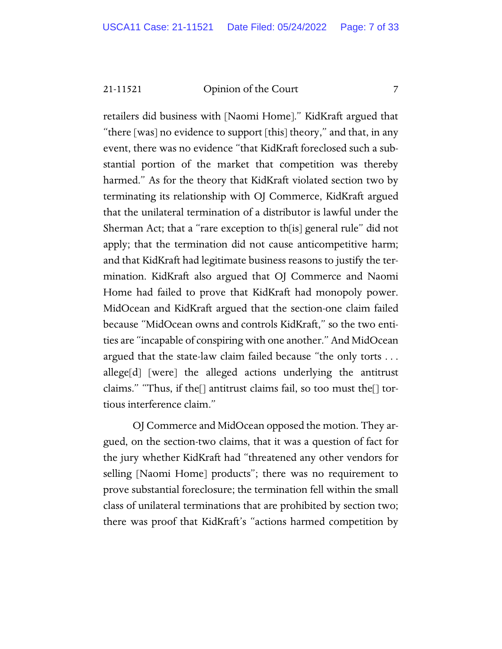retailers did business with [Naomi Home]." KidKraft argued that "there [was] no evidence to support [this] theory," and that, in any event, there was no evidence "that KidKraft foreclosed such a substantial portion of the market that competition was thereby harmed." As for the theory that KidKraft violated section two by terminating its relationship with OJ Commerce, KidKraft argued that the unilateral termination of a distributor is lawful under the Sherman Act; that a "rare exception to th[is] general rule" did not apply; that the termination did not cause anticompetitive harm; and that KidKraft had legitimate business reasons to justify the termination. KidKraft also argued that OJ Commerce and Naomi Home had failed to prove that KidKraft had monopoly power. MidOcean and KidKraft argued that the section-one claim failed because "MidOcean owns and controls KidKraft," so the two entities are "incapable of conspiring with one another." And MidOcean argued that the state-law claim failed because "the only torts . . . allege[d] [were] the alleged actions underlying the antitrust claims." "Thus, if the[] antitrust claims fail, so too must the[] tortious interference claim."

OJ Commerce and MidOcean opposed the motion. They argued, on the section-two claims, that it was a question of fact for the jury whether KidKraft had "threatened any other vendors for selling [Naomi Home] products"; there was no requirement to prove substantial foreclosure; the termination fell within the small class of unilateral terminations that are prohibited by section two; there was proof that KidKraft's "actions harmed competition by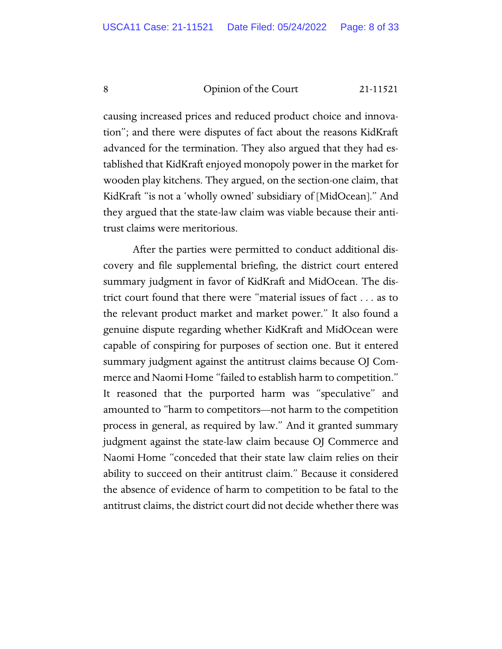causing increased prices and reduced product choice and innovation"; and there were disputes of fact about the reasons KidKraft advanced for the termination. They also argued that they had established that KidKraft enjoyed monopoly power in the market for wooden play kitchens. They argued, on the section-one claim, that KidKraft "is not a 'wholly owned' subsidiary of [MidOcean]." And they argued that the state-law claim was viable because their antitrust claims were meritorious.

After the parties were permitted to conduct additional discovery and file supplemental briefing, the district court entered summary judgment in favor of KidKraft and MidOcean. The district court found that there were "material issues of fact . . . as to the relevant product market and market power." It also found a genuine dispute regarding whether KidKraft and MidOcean were capable of conspiring for purposes of section one. But it entered summary judgment against the antitrust claims because OJ Commerce and Naomi Home "failed to establish harm to competition." It reasoned that the purported harm was "speculative" and amounted to "harm to competitors—not harm to the competition process in general, as required by law." And it granted summary judgment against the state-law claim because OJ Commerce and Naomi Home "conceded that their state law claim relies on their ability to succeed on their antitrust claim." Because it considered the absence of evidence of harm to competition to be fatal to the antitrust claims, the district court did not decide whether there was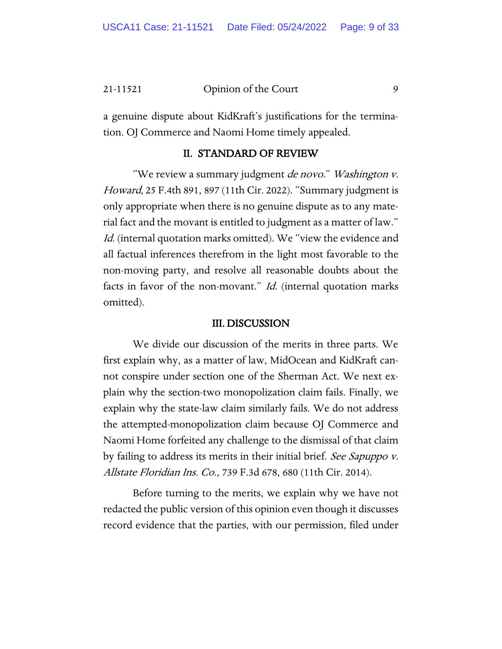a genuine dispute about KidKraft's justifications for the termination. OJ Commerce and Naomi Home timely appealed.

#### II. STANDARD OF REVIEW

"We review a summary judgment *de novo." Washington v.* Howard, 25 F.4th 891, 897 (11th Cir. 2022). "Summary judgment is only appropriate when there is no genuine dispute as to any material fact and the movant is entitled to judgment as a matter of law." Id. (internal quotation marks omitted). We "view the evidence and all factual inferences therefrom in the light most favorable to the non-moving party, and resolve all reasonable doubts about the facts in favor of the non-movant." Id. (internal quotation marks omitted).

#### III. DISCUSSION

We divide our discussion of the merits in three parts. We first explain why, as a matter of law, MidOcean and KidKraft cannot conspire under section one of the Sherman Act. We next explain why the section-two monopolization claim fails. Finally, we explain why the state-law claim similarly fails. We do not address the attempted-monopolization claim because OJ Commerce and Naomi Home forfeited any challenge to the dismissal of that claim by failing to address its merits in their initial brief. See Sapuppo v. Allstate Floridian Ins. Co., 739 F.3d 678, 680 (11th Cir. 2014).

Before turning to the merits, we explain why we have not redacted the public version of this opinion even though it discusses record evidence that the parties, with our permission, filed under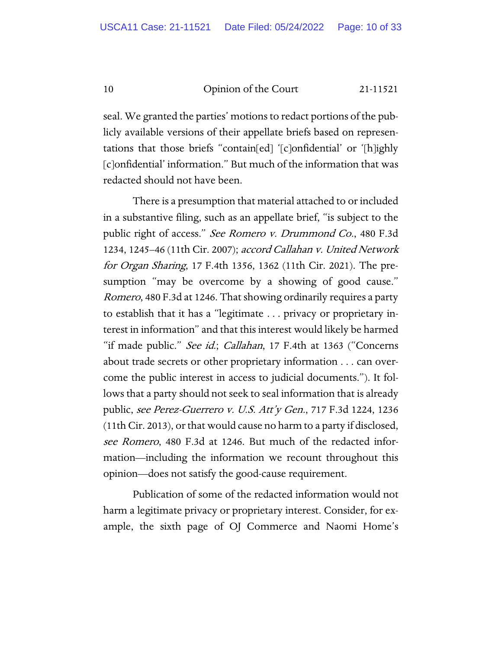seal. We granted the parties' motions to redact portions of the publicly available versions of their appellate briefs based on representations that those briefs "contain[ed] '[c]onfidential' or '[h]ighly [c]onfidential' information." But much of the information that was redacted should not have been.

There is a presumption that material attached to or included in a substantive filing, such as an appellate brief, "is subject to the public right of access." See Romero v. Drummond Co., 480 F.3d 1234, 1245–46 (11th Cir. 2007); accord Callahan v. United Network for Organ Sharing, 17 F.4th 1356, 1362 (11th Cir. 2021). The presumption "may be overcome by a showing of good cause." Romero, 480 F.3d at 1246. That showing ordinarily requires a party to establish that it has a "legitimate . . . privacy or proprietary interest in information" and that this interest would likely be harmed "if made public." See id.; Callahan, 17 F.4th at 1363 ("Concerns about trade secrets or other proprietary information . . . can overcome the public interest in access to judicial documents."). It follows that a party should not seek to seal information that is already public, see Perez-Guerrero v. U.S. Att'y Gen., 717 F.3d 1224, 1236 (11th Cir. 2013), or that would cause no harm to a party if disclosed, see Romero, 480 F.3d at 1246. But much of the redacted information—including the information we recount throughout this opinion—does not satisfy the good-cause requirement.

Publication of some of the redacted information would not harm a legitimate privacy or proprietary interest. Consider, for example, the sixth page of OJ Commerce and Naomi Home's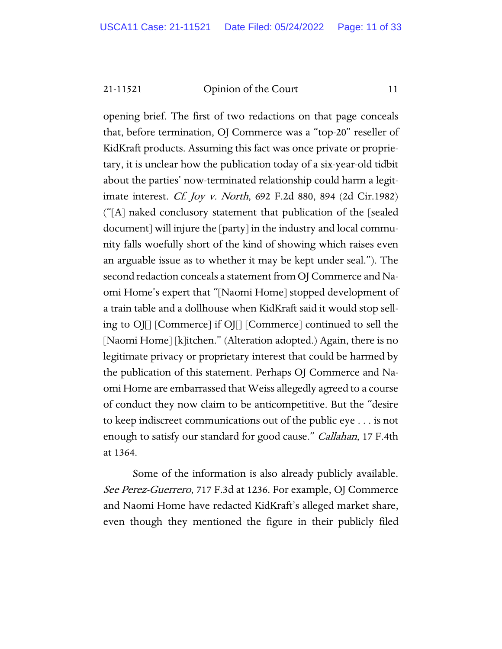opening brief. The first of two redactions on that page conceals that, before termination, OJ Commerce was a "top-20" reseller of KidKraft products. Assuming this fact was once private or proprietary, it is unclear how the publication today of a six-year-old tidbit about the parties' now-terminated relationship could harm a legitimate interest. Cf. Joy v. North, 692 F.2d 880, 894 (2d Cir.1982) ("[A] naked conclusory statement that publication of the [sealed document] will injure the [party] in the industry and local community falls woefully short of the kind of showing which raises even an arguable issue as to whether it may be kept under seal."). The second redaction conceals a statement from OJ Commerce and Naomi Home's expert that "[Naomi Home] stopped development of a train table and a dollhouse when KidKraft said it would stop selling to OJ[] [Commerce] if OJ[] [Commerce] continued to sell the [Naomi Home] [k]itchen." (Alteration adopted.) Again, there is no legitimate privacy or proprietary interest that could be harmed by the publication of this statement. Perhaps OJ Commerce and Naomi Home are embarrassed that Weiss allegedly agreed to a course of conduct they now claim to be anticompetitive. But the "desire to keep indiscreet communications out of the public eye . . . is not enough to satisfy our standard for good cause." *Callahan*, 17 F.4th at 1364.

Some of the information is also already publicly available. See Perez-Guerrero, 717 F.3d at 1236. For example, OJ Commerce and Naomi Home have redacted KidKraft's alleged market share, even though they mentioned the figure in their publicly filed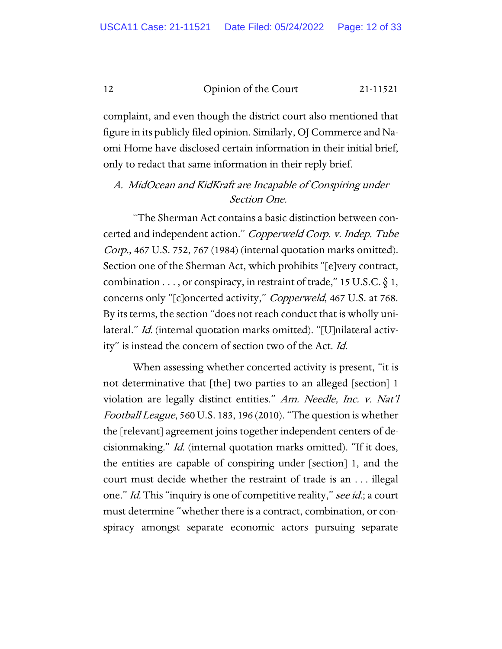complaint, and even though the district court also mentioned that figure in its publicly filed opinion. Similarly, OJ Commerce and Naomi Home have disclosed certain information in their initial brief, only to redact that same information in their reply brief.

### A. MidOcean and KidKraft are Incapable of Conspiring under Section One.

"The Sherman Act contains a basic distinction between concerted and independent action." Copperweld Corp. v. Indep. Tube Corp., 467 U.S. 752, 767 (1984) (internal quotation marks omitted). Section one of the Sherman Act, which prohibits "[e]very contract, combination . . . , or conspiracy, in restraint of trade," 15 U.S.C.  $\S$  1, concerns only "[c]oncerted activity," Copperweld, 467 U.S. at 768. By its terms, the section "does not reach conduct that is wholly unilateral." *Id.* (internal quotation marks omitted). "[U]nilateral activity" is instead the concern of section two of the Act. Id.

When assessing whether concerted activity is present, "it is not determinative that [the] two parties to an alleged [section] 1 violation are legally distinct entities." Am. Needle, Inc. v. Nat'l Football League, 560 U.S. 183, 196 (2010). "The question is whether the [relevant] agreement joins together independent centers of decisionmaking." Id. (internal quotation marks omitted). "If it does, the entities are capable of conspiring under [section] 1, and the court must decide whether the restraint of trade is an . . . illegal one." *Id.* This "inquiry is one of competitive reality," see id.; a court must determine "whether there is a contract, combination, or conspiracy amongst separate economic actors pursuing separate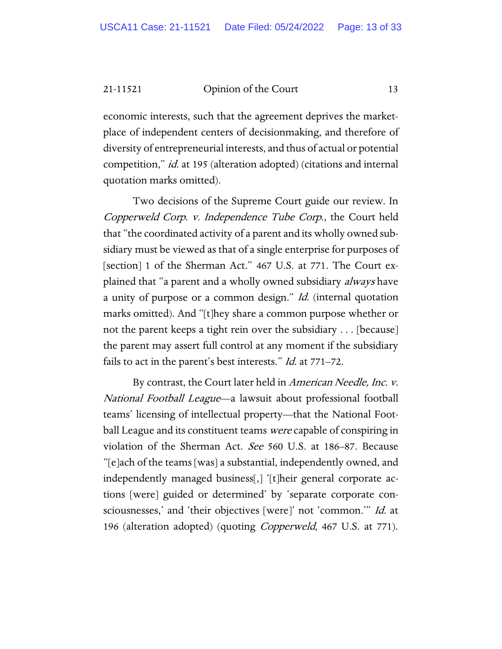economic interests, such that the agreement deprives the marketplace of independent centers of decisionmaking, and therefore of diversity of entrepreneurial interests, and thus of actual or potential competition," *id.* at 195 (alteration adopted) (citations and internal quotation marks omitted).

Two decisions of the Supreme Court guide our review. In Copperweld Corp. v. Independence Tube Corp., the Court held that "the coordinated activity of a parent and its wholly owned subsidiary must be viewed as that of a single enterprise for purposes of [section] 1 of the Sherman Act." 467 U.S. at 771. The Court explained that "a parent and a wholly owned subsidiary always have a unity of purpose or a common design." *Id.* (internal quotation marks omitted). And "[t]hey share a common purpose whether or not the parent keeps a tight rein over the subsidiary . . . [because] the parent may assert full control at any moment if the subsidiary fails to act in the parent's best interests." *Id.* at 771–72.

By contrast, the Court later held in *American Needle, Inc. v.* National Football League—a lawsuit about professional football teams' licensing of intellectual property—that the National Football League and its constituent teams *were* capable of conspiring in violation of the Sherman Act. See 560 U.S. at 186–87. Because "[e]ach of the teams [was] a substantial, independently owned, and independently managed business[,] '[t]heir general corporate actions [were] guided or determined' by 'separate corporate consciousnesses,' and 'their objectives [were]' not 'common.'" Id. at 196 (alteration adopted) (quoting *Copperweld*, 467 U.S. at 771).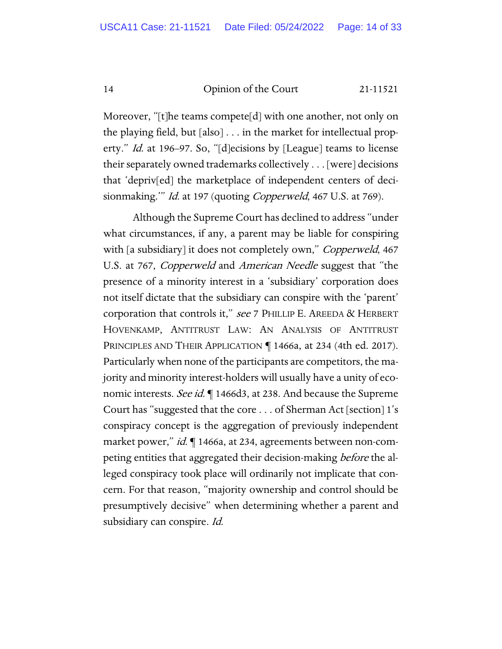Moreover, "[t]he teams compete[d] with one another, not only on the playing field, but [also] . . . in the market for intellectual property." *Id.* at 196–97. So, "[d]ecisions by [League] teams to license their separately owned trademarks collectively . . . [were] decisions that 'depriv[ed] the marketplace of independent centers of decisionmaking." *Id.* at 197 (quoting *Copperweld*, 467 U.S. at 769).

Although the Supreme Court has declined to address "under what circumstances, if any, a parent may be liable for conspiring with [a subsidiary] it does not completely own," *Copperweld*, 467 U.S. at 767, Copperweld and American Needle suggest that "the presence of a minority interest in a 'subsidiary' corporation does not itself dictate that the subsidiary can conspire with the 'parent' corporation that controls it," see 7 PHILLIP E. AREEDA & HERBERT HOVENKAMP, ANTITRUST LAW: AN ANALYSIS OF ANTITRUST PRINCIPLES AND THEIR APPLICATION ¶ 1466a, at 234 (4th ed. 2017). Particularly when none of the participants are competitors, the majority and minority interest-holders will usually have a unity of economic interests. See id. 1466d3, at 238. And because the Supreme Court has "suggested that the core . . . of Sherman Act [section] 1's conspiracy concept is the aggregation of previously independent market power," id. 1466a, at 234, agreements between non-competing entities that aggregated their decision-making before the alleged conspiracy took place will ordinarily not implicate that concern. For that reason, "majority ownership and control should be presumptively decisive" when determining whether a parent and subsidiary can conspire. Id.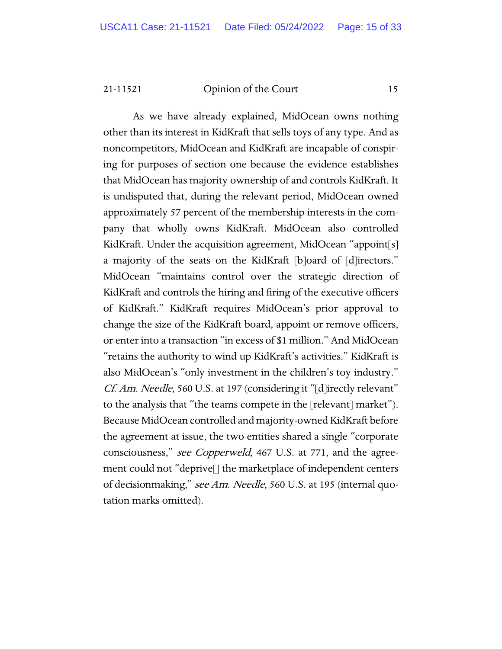As we have already explained, MidOcean owns nothing other than its interest in KidKraft that sells toys of any type. And as noncompetitors, MidOcean and KidKraft are incapable of conspiring for purposes of section one because the evidence establishes that MidOcean has majority ownership of and controls KidKraft. It is undisputed that, during the relevant period, MidOcean owned approximately 57 percent of the membership interests in the company that wholly owns KidKraft. MidOcean also controlled KidKraft. Under the acquisition agreement, MidOcean "appoint[s] a majority of the seats on the KidKraft [b]oard of [d]irectors." MidOcean "maintains control over the strategic direction of KidKraft and controls the hiring and firing of the executive officers of KidKraft." KidKraft requires MidOcean's prior approval to change the size of the KidKraft board, appoint or remove officers, or enter into a transaction "in excess of \$1 million." And MidOcean "retains the authority to wind up KidKraft's activities." KidKraft is also MidOcean's "only investment in the children's toy industry." Cf. Am. Needle, 560 U.S. at 197 (considering it "[d]irectly relevant" to the analysis that "the teams compete in the [relevant] market"). Because MidOcean controlled and majority-owned KidKraft before the agreement at issue, the two entities shared a single "corporate consciousness," see Copperweld, 467 U.S. at 771, and the agreement could not "deprive[] the marketplace of independent centers of decisionmaking," see Am. Needle, 560 U.S. at 195 (internal quotation marks omitted).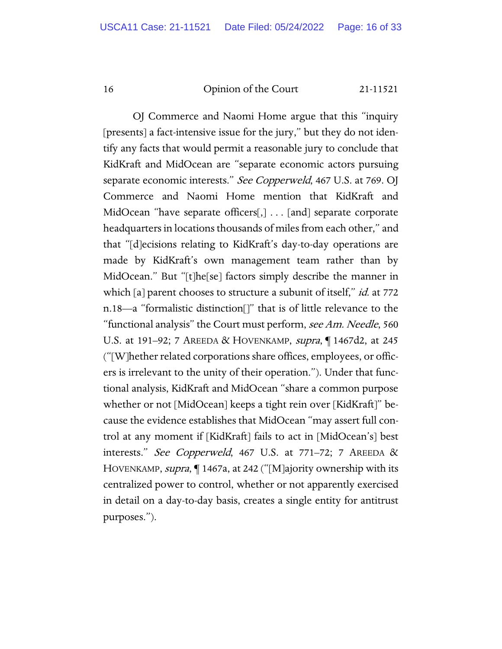OJ Commerce and Naomi Home argue that this "inquiry [presents] a fact-intensive issue for the jury," but they do not identify any facts that would permit a reasonable jury to conclude that KidKraft and MidOcean are "separate economic actors pursuing separate economic interests." See Copperweld, 467 U.S. at 769. OJ Commerce and Naomi Home mention that KidKraft and MidOcean "have separate officers[,] . . . [and] separate corporate headquarters in locations thousands of miles from each other," and that "[d]ecisions relating to KidKraft's day-to-day operations are made by KidKraft's own management team rather than by MidOcean." But "[t]he[se] factors simply describe the manner in which [a] parent chooses to structure a subunit of itself," *id.* at 772 n.18—a "formalistic distinction[]" that is of little relevance to the "functional analysis" the Court must perform, see Am. Needle, 560 U.S. at 191–92; 7 AREEDA & HOVENKAMP, *supra*, 1467d2, at 245 ("[W]hether related corporations share offices, employees, or officers is irrelevant to the unity of their operation."). Under that functional analysis, KidKraft and MidOcean "share a common purpose whether or not [MidOcean] keeps a tight rein over [KidKraft]" because the evidence establishes that MidOcean "may assert full control at any moment if [KidKraft] fails to act in [MidOcean's] best interests." See Copperweld, 467 U.S. at 771–72; 7 AREEDA & HOVENKAMP, supra, ¶ 1467a, at 242 ("[M]ajority ownership with its centralized power to control, whether or not apparently exercised in detail on a day-to-day basis, creates a single entity for antitrust purposes.").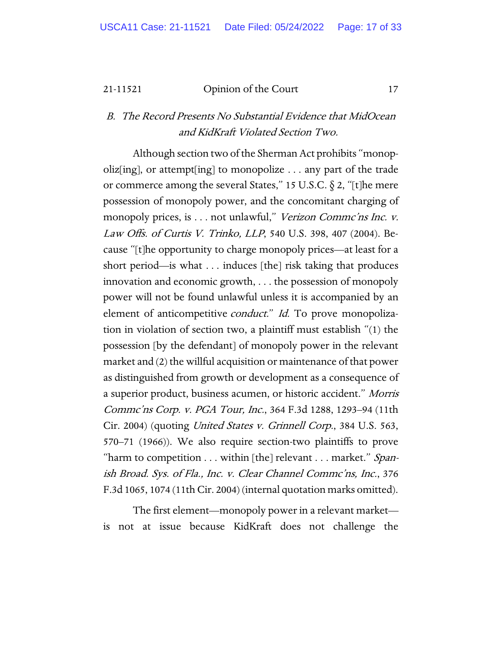B. The Record Presents No Substantial Evidence that MidOcean and KidKraft Violated Section Two.

Although section two of the Sherman Act prohibits "monopoliz[ing], or attempt[ing] to monopolize . . . any part of the trade or commerce among the several States," 15 U.S.C. § 2, "[t]he mere possession of monopoly power, and the concomitant charging of monopoly prices, is . . . not unlawful," Verizon Commc'ns Inc. v. Law Offs. of Curtis V. Trinko, LLP, 540 U.S. 398, 407 (2004). Because "[t]he opportunity to charge monopoly prices—at least for a short period—is what . . . induces [the] risk taking that produces innovation and economic growth, . . . the possession of monopoly power will not be found unlawful unless it is accompanied by an element of anticompetitive *conduct.*" *Id.* To prove monopolization in violation of section two, a plaintiff must establish "(1) the possession [by the defendant] of monopoly power in the relevant market and (2) the willful acquisition or maintenance of that power as distinguished from growth or development as a consequence of a superior product, business acumen, or historic accident." Morris Commc'ns Corp. v. PGA Tour, Inc., 364 F.3d 1288, 1293–94 (11th Cir. 2004) (quoting United States v. Grinnell Corp., 384 U.S. 563, 570–71 (1966)). We also require section-two plaintiffs to prove "harm to competition . . . within [the] relevant . . . market." Spanish Broad. Sys. of Fla., Inc. v. Clear Channel Commc'ns, Inc., 376 F.3d 1065, 1074 (11th Cir. 2004) (internal quotation marks omitted).

The first element—monopoly power in a relevant market is not at issue because KidKraft does not challenge the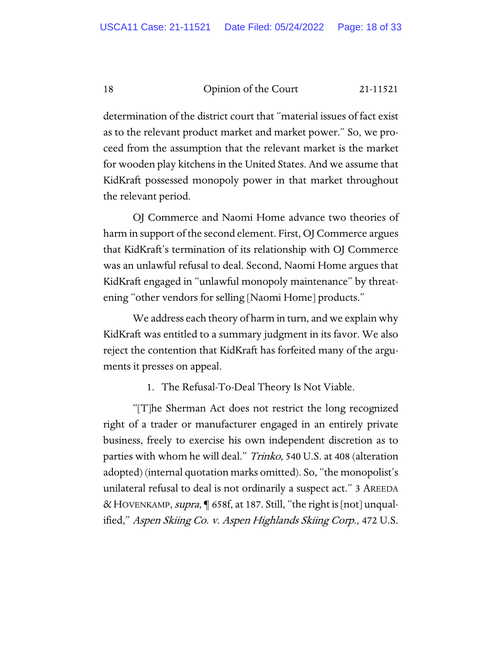determination of the district court that "material issues of fact exist as to the relevant product market and market power." So, we proceed from the assumption that the relevant market is the market for wooden play kitchens in the United States. And we assume that KidKraft possessed monopoly power in that market throughout the relevant period.

OJ Commerce and Naomi Home advance two theories of harm in support of the second element. First, OJ Commerce argues that KidKraft's termination of its relationship with OJ Commerce was an unlawful refusal to deal. Second, Naomi Home argues that KidKraft engaged in "unlawful monopoly maintenance" by threatening "other vendors for selling [Naomi Home] products."

We address each theory of harm in turn, and we explain why KidKraft was entitled to a summary judgment in its favor. We also reject the contention that KidKraft has forfeited many of the arguments it presses on appeal.

1. The Refusal-To-Deal Theory Is Not Viable.

"[T]he Sherman Act does not restrict the long recognized right of a trader or manufacturer engaged in an entirely private business, freely to exercise his own independent discretion as to parties with whom he will deal." Trinko, 540 U.S. at 408 (alteration adopted) (internal quotation marks omitted). So, "the monopolist's unilateral refusal to deal is not ordinarily a suspect act." 3 AREEDA &HOVENKAMP, supra, ¶ 658f, at 187. Still, "the right is [not] unqualified," Aspen Skiing Co. v. Aspen Highlands Skiing Corp., 472 U.S.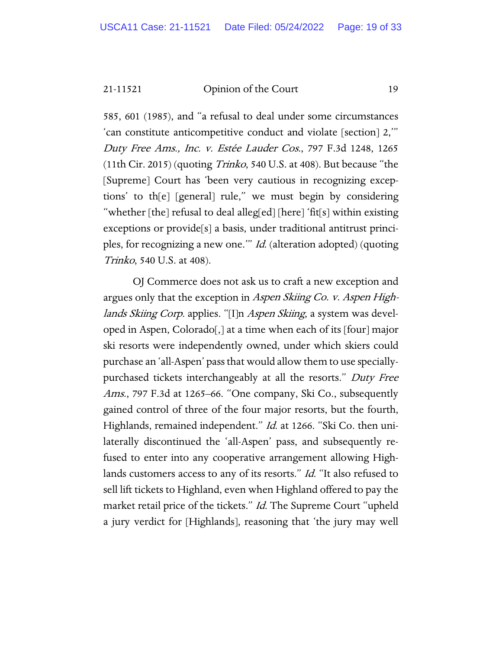585, 601 (1985), and "a refusal to deal under some circumstances 'can constitute anticompetitive conduct and violate [section] 2,'" Duty Free Ams., Inc. v. Estée Lauder Cos., 797 F.3d 1248, 1265 (11th Cir. 2015) (quoting  $Trinko$ , 540 U.S. at 408). But because "the [Supreme] Court has 'been very cautious in recognizing exceptions' to th[e] [general] rule," we must begin by considering "whether [the] refusal to deal alleg[ed] [here] 'fit[s] within existing exceptions or provide[s] a basis, under traditional antitrust principles, for recognizing a new one.'" Id. (alteration adopted) (quoting Trinko, 540 U.S. at 408).

OJ Commerce does not ask us to craft a new exception and argues only that the exception in Aspen Skiing Co. v. Aspen Highlands Skiing Corp. applies. "[I]n Aspen Skiing, a system was developed in Aspen, Colorado[,] at a time when each of its [four] major ski resorts were independently owned, under which skiers could purchase an 'all-Aspen' pass that would allow them to use speciallypurchased tickets interchangeably at all the resorts." Duty Free Ams., 797 F.3d at 1265–66. "One company, Ski Co., subsequently gained control of three of the four major resorts, but the fourth, Highlands, remained independent." *Id.* at 1266. "Ski Co. then unilaterally discontinued the 'all-Aspen' pass, and subsequently refused to enter into any cooperative arrangement allowing Highlands customers access to any of its resorts." *Id.* "It also refused to sell lift tickets to Highland, even when Highland offered to pay the market retail price of the tickets." *Id.* The Supreme Court "upheld a jury verdict for [Highlands], reasoning that 'the jury may well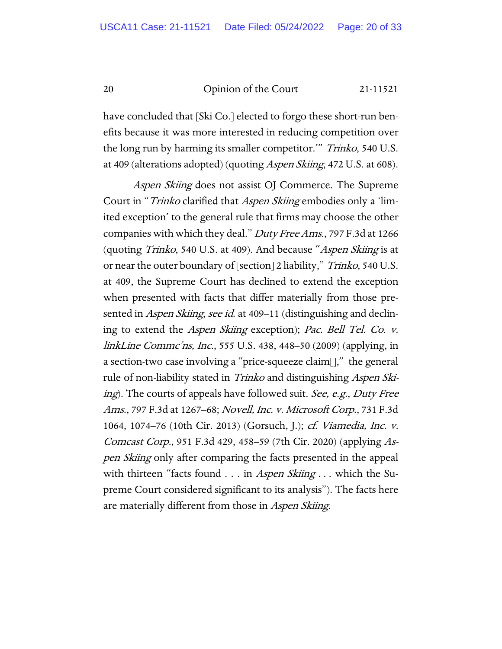have concluded that [Ski Co.] elected to forgo these short-run benefits because it was more interested in reducing competition over the long run by harming its smaller competitor." Trinko, 540 U.S. at 409 (alterations adopted) (quoting *Aspen Skiing*, 472 U.S. at 608).

Aspen Skiing does not assist OJ Commerce. The Supreme Court in "*Trinko* clarified that *Aspen Skiing* embodies only a 'limited exception' to the general rule that firms may choose the other companies with which they deal." Duty Free Ams., 797 F.3d at 1266 (quoting *Trinko*, 540 U.S. at 409). And because "Aspen Skiing is at or near the outer boundary of [section] 2 liability," Trinko, 540 U.S. at 409, the Supreme Court has declined to extend the exception when presented with facts that differ materially from those presented in *Aspen Skiing, see id.* at 409–11 (distinguishing and declining to extend the Aspen Skiing exception); Pac. Bell Tel. Co. v. linkLine Commc'ns, Inc., 555 U.S. 438, 448–50 (2009) (applying, in a section-two case involving a "price-squeeze claim[]," the general rule of non-liability stated in *Trinko* and distinguishing *Aspen Ski*ing). The courts of appeals have followed suit. See, e.g., Duty Free Ams., 797 F.3d at 1267–68; Novell, Inc. v. Microsoft Corp., 731 F.3d 1064, 1074–76 (10th Cir. 2013) (Gorsuch, J.); cf. Viamedia, Inc. v. Comcast Corp., 951 F.3d 429, 458–59 (7th Cir. 2020) (applying Aspen Skiing only after comparing the facts presented in the appeal with thirteen "facts found . . . in *Aspen Skiing* . . . which the Supreme Court considered significant to its analysis"). The facts here are materially different from those in *Aspen Skiing*.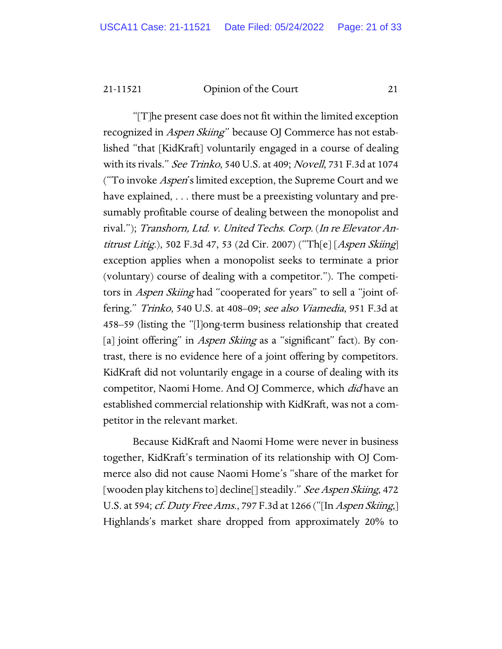"[T]he present case does not fit within the limited exception recognized in *Aspen Skiing*" because OJ Commerce has not established "that [KidKraft] voluntarily engaged in a course of dealing with its rivals." See Trinko, 540 U.S. at 409; Novell, 731 F.3d at 1074 ("To invoke *Aspen's* limited exception, the Supreme Court and we have explained, . . . there must be a preexisting voluntary and presumably profitable course of dealing between the monopolist and rival."); Transhorn, Ltd. v. United Techs. Corp. (In re Elevator Antitrust Litig.), 502 F.3d 47, 53 (2d Cir. 2007) ("Th[e] [Aspen Skiing] exception applies when a monopolist seeks to terminate a prior (voluntary) course of dealing with a competitor."). The competitors in *Aspen Skiing* had "cooperated for years" to sell a "joint offering." Trinko, 540 U.S. at 408–09; see also Viamedia, 951 F.3d at 458–59 (listing the "[l]ong-term business relationship that created [a] joint offering" in *Aspen Skiing* as a "significant" fact). By contrast, there is no evidence here of a joint offering by competitors. KidKraft did not voluntarily engage in a course of dealing with its competitor, Naomi Home. And OJ Commerce, which *did* have an established commercial relationship with KidKraft, was not a competitor in the relevant market.

Because KidKraft and Naomi Home were never in business together, KidKraft's termination of its relationship with OJ Commerce also did not cause Naomi Home's "share of the market for [wooden play kitchens to] decline[] steadily." See Aspen Skiing, 472 U.S. at 594; *cf. Duty Free Ams.*, 797 F.3d at 1266 ("[In *Aspen Skiing*,] Highlands's market share dropped from approximately 20% to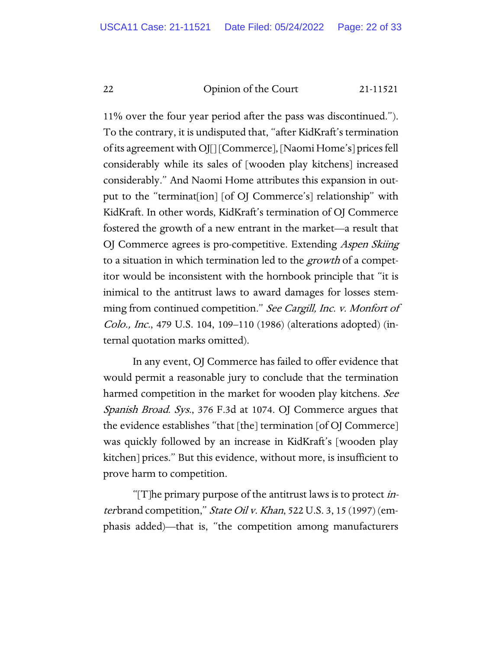11% over the four year period after the pass was discontinued."). To the contrary, it is undisputed that, "after KidKraft's termination of its agreement with OJ[] [Commerce], [Naomi Home's] prices fell considerably while its sales of [wooden play kitchens] increased considerably." And Naomi Home attributes this expansion in output to the "terminat[ion] [of OJ Commerce's] relationship" with KidKraft. In other words, KidKraft's termination of OJ Commerce fostered the growth of a new entrant in the market—a result that OJ Commerce agrees is pro-competitive. Extending *Aspen Skiing* to a situation in which termination led to the growth of a competitor would be inconsistent with the hornbook principle that "it is inimical to the antitrust laws to award damages for losses stemming from continued competition." See Cargill, Inc. v. Monfort of Colo., Inc., 479 U.S. 104, 109–110 (1986) (alterations adopted) (internal quotation marks omitted).

In any event, OJ Commerce has failed to offer evidence that would permit a reasonable jury to conclude that the termination harmed competition in the market for wooden play kitchens. See Spanish Broad. Sys., 376 F.3d at 1074. OJ Commerce argues that the evidence establishes "that [the] termination [of OJ Commerce] was quickly followed by an increase in KidKraft's [wooden play kitchen] prices." But this evidence, without more, is insufficient to prove harm to competition.

"[T]he primary purpose of the antitrust laws is to protect *in*terbrand competition," State Oil v. Khan, 522 U.S. 3, 15 (1997) (emphasis added)—that is, "the competition among manufacturers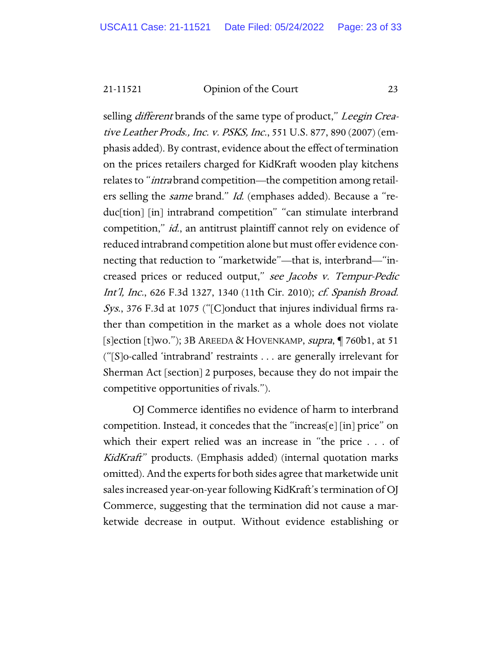selling *different* brands of the same type of product," Leegin Creative Leather Prods., Inc. v. PSKS, Inc., 551 U.S. 877, 890 (2007) (emphasis added). By contrast, evidence about the effect of termination on the prices retailers charged for KidKraft wooden play kitchens relates to "*intra* brand competition—the competition among retailers selling the *same* brand." *Id.* (emphases added). Because a "reduc[tion] [in] intrabrand competition" "can stimulate interbrand competition," *id.*, an antitrust plaintiff cannot rely on evidence of reduced intrabrand competition alone but must offer evidence connecting that reduction to "marketwide"—that is, interbrand—"increased prices or reduced output," see Jacobs v. Tempur-Pedic Int'l, Inc., 626 F.3d 1327, 1340 (11th Cir. 2010); cf. Spanish Broad. Sys., 376 F.3d at 1075 ("[C]onduct that injures individual firms rather than competition in the market as a whole does not violate [s]ection [t]wo."); 3B AREEDA & HOVENKAMP, supra,  $\P$  760b1, at 51 ("[S]o-called 'intrabrand' restraints . . . are generally irrelevant for Sherman Act [section] 2 purposes, because they do not impair the competitive opportunities of rivals.").

OJ Commerce identifies no evidence of harm to interbrand competition. Instead, it concedes that the "increas[e] [in] price" on which their expert relied was an increase in "the price . . . of KidKraft" products. (Emphasis added) (internal quotation marks omitted). And the experts for both sides agree that marketwide unit sales increased year-on-year following KidKraft's termination of OJ Commerce, suggesting that the termination did not cause a marketwide decrease in output. Without evidence establishing or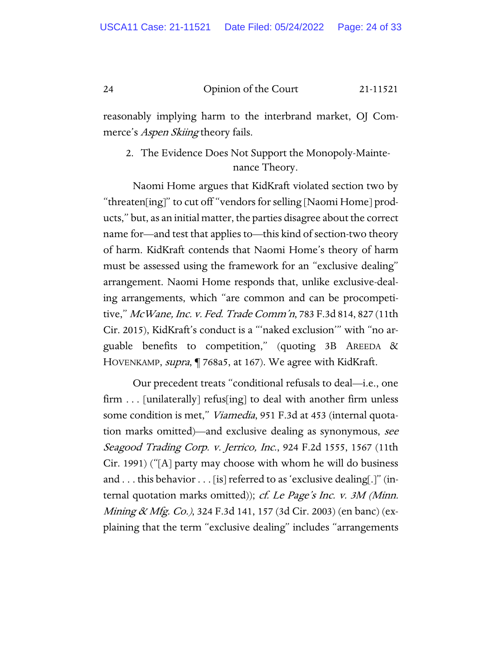reasonably implying harm to the interbrand market, OJ Commerce's *Aspen Skiing* theory fails.

## 2. The Evidence Does Not Support the Monopoly-Maintenance Theory.

Naomi Home argues that KidKraft violated section two by "threaten[ing]" to cut off "vendors for selling [Naomi Home] products," but, as an initial matter, the parties disagree about the correct name for—and test that applies to—this kind of section-two theory of harm. KidKraft contends that Naomi Home's theory of harm must be assessed using the framework for an "exclusive dealing" arrangement. Naomi Home responds that, unlike exclusive-dealing arrangements, which "are common and can be procompetitive," McWane, Inc. v. Fed. Trade Comm'n, 783 F.3d 814, 827 (11th Cir. 2015), KidKraft's conduct is a "'naked exclusion'" with "no arguable benefits to competition," (quoting 3B AREEDA & HOVENKAMP, *supra*, ¶ 768a5, at 167). We agree with KidKraft.

Our precedent treats "conditional refusals to deal—i.e., one firm . . . [unilaterally] refus[ing] to deal with another firm unless some condition is met," *Viamedia*, 951 F.3d at 453 (internal quotation marks omitted)—and exclusive dealing as synonymous, see Seagood Trading Corp. v. Jerrico, Inc., 924 F.2d 1555, 1567 (11th Cir. 1991) ("[A] party may choose with whom he will do business and . . . this behavior . . . [is] referred to as 'exclusive dealing[.]" (internal quotation marks omitted)); cf. Le Page's Inc. v. 3M (Minn. Mining & Mfg. Co.), 324 F.3d 141, 157 (3d Cir. 2003) (en banc) (explaining that the term "exclusive dealing" includes "arrangements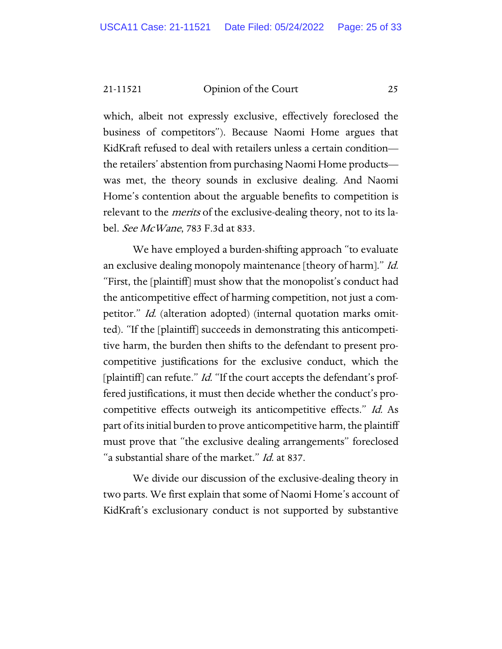which, albeit not expressly exclusive, effectively foreclosed the business of competitors"). Because Naomi Home argues that KidKraft refused to deal with retailers unless a certain condition the retailers' abstention from purchasing Naomi Home products was met, the theory sounds in exclusive dealing. And Naomi Home's contention about the arguable benefits to competition is relevant to the *merits* of the exclusive-dealing theory, not to its label. See McWane, 783 F.3d at 833.

We have employed a burden-shifting approach "to evaluate an exclusive dealing monopoly maintenance [theory of harm]." Id. "First, the [plaintiff] must show that the monopolist's conduct had the anticompetitive effect of harming competition, not just a competitor." Id. (alteration adopted) (internal quotation marks omitted). "If the [plaintiff] succeeds in demonstrating this anticompetitive harm, the burden then shifts to the defendant to present procompetitive justifications for the exclusive conduct, which the [plaintiff] can refute." *Id.* "If the court accepts the defendant's proffered justifications, it must then decide whether the conduct's procompetitive effects outweigh its anticompetitive effects." Id. As part of its initial burden to prove anticompetitive harm, the plaintiff must prove that "the exclusive dealing arrangements" foreclosed "a substantial share of the market." Id. at 837.

We divide our discussion of the exclusive-dealing theory in two parts. We first explain that some of Naomi Home's account of KidKraft's exclusionary conduct is not supported by substantive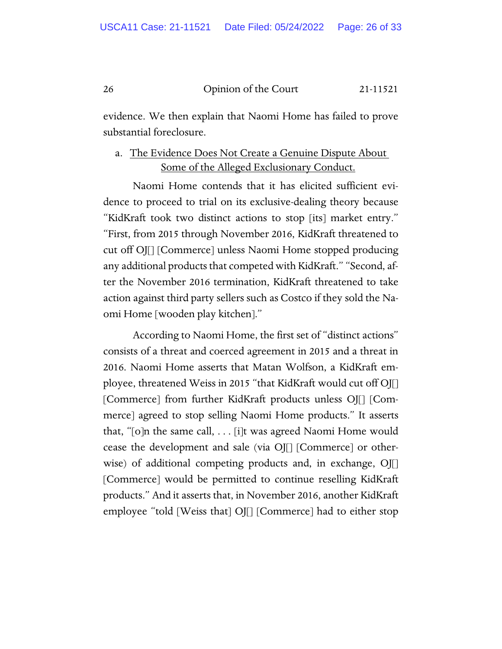evidence. We then explain that Naomi Home has failed to prove substantial foreclosure.

# a. The Evidence Does Not Create a Genuine Dispute About Some of the Alleged Exclusionary Conduct.

Naomi Home contends that it has elicited sufficient evidence to proceed to trial on its exclusive-dealing theory because "KidKraft took two distinct actions to stop [its] market entry." "First, from 2015 through November 2016, KidKraft threatened to cut off OJ[] [Commerce] unless Naomi Home stopped producing any additional products that competed with KidKraft." "Second, after the November 2016 termination, KidKraft threatened to take action against third party sellers such as Costco if they sold the Naomi Home [wooden play kitchen]."

According to Naomi Home, the first set of "distinct actions" consists of a threat and coerced agreement in 2015 and a threat in 2016. Naomi Home asserts that Matan Wolfson, a KidKraft employee, threatened Weiss in 2015 "that KidKraft would cut off OJ[] [Commerce] from further KidKraft products unless OJ[] [Commerce] agreed to stop selling Naomi Home products." It asserts that, "[o]n the same call, . . . [i]t was agreed Naomi Home would cease the development and sale (via OJ[] [Commerce] or otherwise) of additional competing products and, in exchange, OJ[] [Commerce] would be permitted to continue reselling KidKraft products." And it asserts that, in November 2016, another KidKraft employee "told [Weiss that] OJ[] [Commerce] had to either stop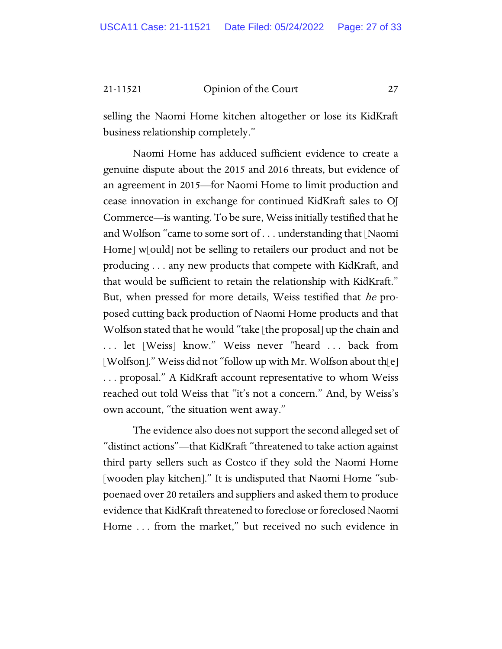selling the Naomi Home kitchen altogether or lose its KidKraft business relationship completely."

Naomi Home has adduced sufficient evidence to create a genuine dispute about the 2015 and 2016 threats, but evidence of an agreement in 2015—for Naomi Home to limit production and cease innovation in exchange for continued KidKraft sales to OJ Commerce—is wanting. To be sure, Weiss initially testified that he and Wolfson "came to some sort of . . . understanding that [Naomi Home] w[ould] not be selling to retailers our product and not be producing . . . any new products that compete with KidKraft, and that would be sufficient to retain the relationship with KidKraft." But, when pressed for more details, Weiss testified that he proposed cutting back production of Naomi Home products and that Wolfson stated that he would "take [the proposal] up the chain and . . . let [Weiss] know." Weiss never "heard . . . back from [Wolfson]." Weiss did not "follow up with Mr. Wolfson about th[e] . . . proposal." A KidKraft account representative to whom Weiss reached out told Weiss that "it's not a concern." And, by Weiss's own account, "the situation went away."

The evidence also does not support the second alleged set of "distinct actions"—that KidKraft "threatened to take action against third party sellers such as Costco if they sold the Naomi Home [wooden play kitchen]." It is undisputed that Naomi Home "subpoenaed over 20 retailers and suppliers and asked them to produce evidence that KidKraft threatened to foreclose or foreclosed Naomi Home ... from the market," but received no such evidence in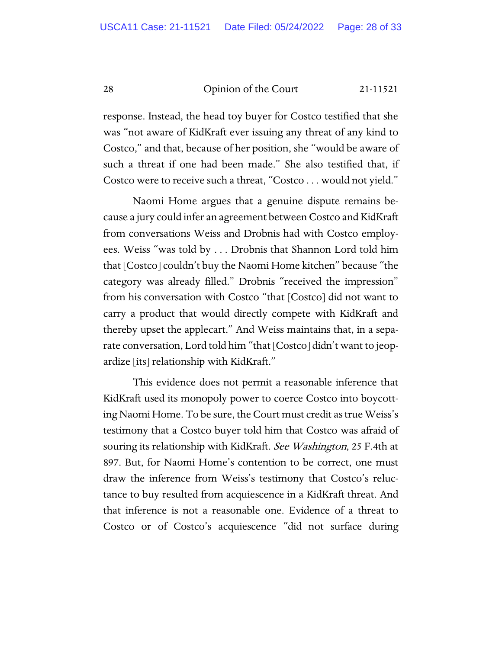response. Instead, the head toy buyer for Costco testified that she was "not aware of KidKraft ever issuing any threat of any kind to Costco," and that, because of her position, she "would be aware of such a threat if one had been made." She also testified that, if Costco were to receive such a threat, "Costco . . . would not yield."

Naomi Home argues that a genuine dispute remains because a jury could infer an agreement between Costco and KidKraft from conversations Weiss and Drobnis had with Costco employees. Weiss "was told by . . . Drobnis that Shannon Lord told him that [Costco] couldn't buy the Naomi Home kitchen" because "the category was already filled." Drobnis "received the impression" from his conversation with Costco "that [Costco] did not want to carry a product that would directly compete with KidKraft and thereby upset the applecart." And Weiss maintains that, in a separate conversation, Lord told him "that [Costco] didn't want to jeopardize [its] relationship with KidKraft."

This evidence does not permit a reasonable inference that KidKraft used its monopoly power to coerce Costco into boycotting Naomi Home. To be sure, the Court must credit as true Weiss's testimony that a Costco buyer told him that Costco was afraid of souring its relationship with KidKraft. See Washington, 25 F.4th at 897. But, for Naomi Home's contention to be correct, one must draw the inference from Weiss's testimony that Costco's reluctance to buy resulted from acquiescence in a KidKraft threat. And that inference is not a reasonable one. Evidence of a threat to Costco or of Costco's acquiescence "did not surface during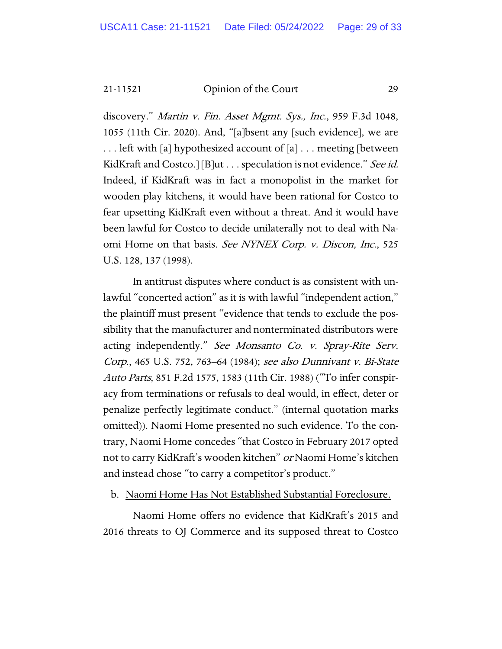discovery." Martin v. Fin. Asset Mgmt. Sys., Inc., 959 F.3d 1048, 1055 (11th Cir. 2020). And, "[a]bsent any [such evidence], we are . . . left with [a] hypothesized account of [a] . . . meeting [between KidKraft and Costco.] [B]ut . . . speculation is not evidence." See id. Indeed, if KidKraft was in fact a monopolist in the market for wooden play kitchens, it would have been rational for Costco to fear upsetting KidKraft even without a threat. And it would have been lawful for Costco to decide unilaterally not to deal with Naomi Home on that basis. See NYNEX Corp. v. Discon, Inc., 525 U.S. 128, 137 (1998).

In antitrust disputes where conduct is as consistent with unlawful "concerted action" as it is with lawful "independent action," the plaintiff must present "evidence that tends to exclude the possibility that the manufacturer and nonterminated distributors were acting independently." See Monsanto Co. v. Spray-Rite Serv. Corp., 465 U.S. 752, 763–64 (1984); see also Dunnivant v. Bi-State Auto Parts, 851 F.2d 1575, 1583 (11th Cir. 1988) ("To infer conspiracy from terminations or refusals to deal would, in effect, deter or penalize perfectly legitimate conduct." (internal quotation marks omitted)). Naomi Home presented no such evidence. To the contrary, Naomi Home concedes "that Costco in February 2017 opted not to carry KidKraft's wooden kitchen" or Naomi Home's kitchen and instead chose "to carry a competitor's product."

b. Naomi Home Has Not Established Substantial Foreclosure.

Naomi Home offers no evidence that KidKraft's 2015 and 2016 threats to OJ Commerce and its supposed threat to Costco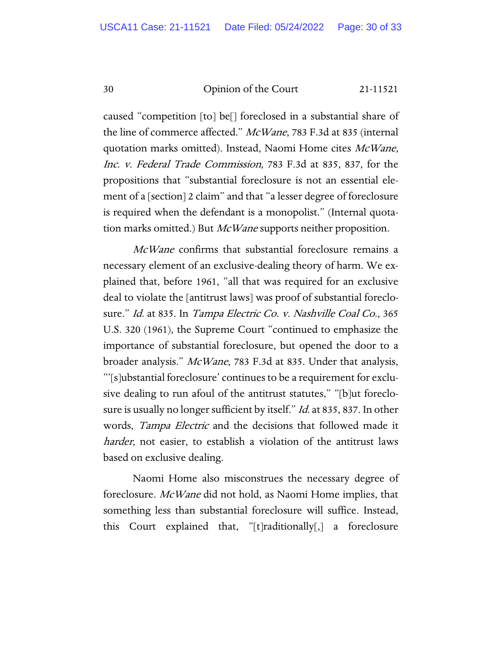caused "competition [to] be[] foreclosed in a substantial share of the line of commerce affected." McWane, 783 F.3d at 835 (internal quotation marks omitted). Instead, Naomi Home cites McWane, Inc. v. Federal Trade Commission, 783 F.3d at 835, 837, for the propositions that "substantial foreclosure is not an essential element of a [section] 2 claim" and that "a lesser degree of foreclosure is required when the defendant is a monopolist." (Internal quotation marks omitted.) But *McWane* supports neither proposition.

McWane confirms that substantial foreclosure remains a necessary element of an exclusive-dealing theory of harm. We explained that, before 1961, "all that was required for an exclusive deal to violate the [antitrust laws] was proof of substantial foreclosure." Id. at 835. In Tampa Electric Co. v. Nashville Coal Co., 365 U.S. 320 (1961), the Supreme Court "continued to emphasize the importance of substantial foreclosure, but opened the door to a broader analysis." McWane, 783 F.3d at 835. Under that analysis, "'[s]ubstantial foreclosure' continues to be a requirement for exclusive dealing to run afoul of the antitrust statutes," "[b]ut foreclosure is usually no longer sufficient by itself." *Id.* at 835, 837. In other words, *Tampa Electric* and the decisions that followed made it harder, not easier, to establish a violation of the antitrust laws based on exclusive dealing.

Naomi Home also misconstrues the necessary degree of foreclosure. McWane did not hold, as Naomi Home implies, that something less than substantial foreclosure will suffice. Instead, this Court explained that, "[t]raditionally[,] a foreclosure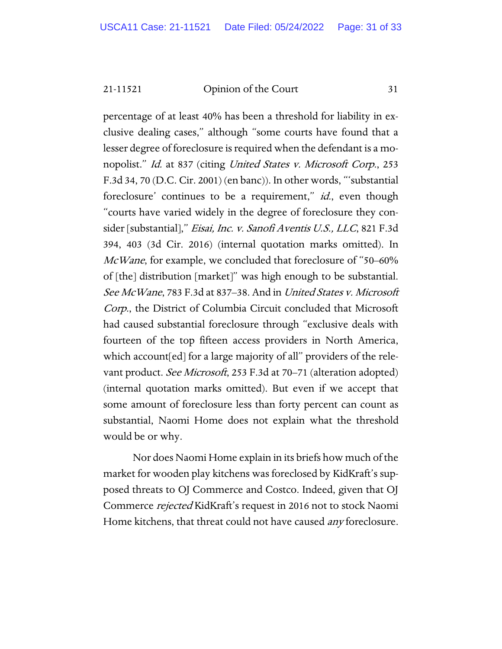percentage of at least 40% has been a threshold for liability in exclusive dealing cases," although "some courts have found that a lesser degree of foreclosure is required when the defendant is a monopolist." Id. at 837 (citing United States v. Microsoft Corp., 253 F.3d 34, 70 (D.C. Cir. 2001) (en banc)). In other words, "'substantial foreclosure' continues to be a requirement," *id.*, even though "courts have varied widely in the degree of foreclosure they consider [substantial]," Eisai, Inc. v. Sanofi Aventis U.S., LLC, 821 F.3d 394, 403 (3d Cir. 2016) (internal quotation marks omitted). In McWane, for example, we concluded that foreclosure of "50–60% of [the] distribution [market]" was high enough to be substantial. See McWane, 783 F.3d at 837–38. And in United States v. Microsoft Corp., the District of Columbia Circuit concluded that Microsoft had caused substantial foreclosure through "exclusive deals with fourteen of the top fifteen access providers in North America, which account[ed] for a large majority of all" providers of the relevant product. *See Microsoft*, 253 F.3d at 70–71 (alteration adopted) (internal quotation marks omitted). But even if we accept that some amount of foreclosure less than forty percent can count as substantial, Naomi Home does not explain what the threshold would be or why.

Nor does Naomi Home explain in its briefs how much of the market for wooden play kitchens was foreclosed by KidKraft's supposed threats to OJ Commerce and Costco. Indeed, given that OJ Commerce rejected KidKraft's request in 2016 not to stock Naomi Home kitchens, that threat could not have caused *any* foreclosure.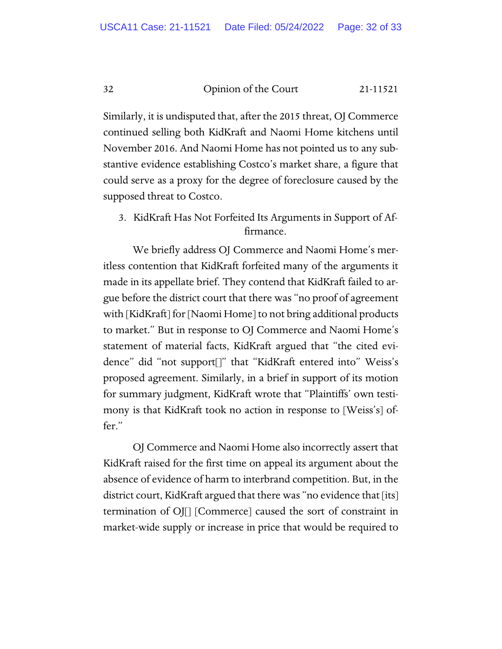Similarly, it is undisputed that, after the 2015 threat, OJ Commerce continued selling both KidKraft and Naomi Home kitchens until November 2016. And Naomi Home has not pointed us to any substantive evidence establishing Costco's market share, a figure that could serve as a proxy for the degree of foreclosure caused by the supposed threat to Costco.

3. KidKraft Has Not Forfeited Its Arguments in Support of Affirmance.

We briefly address OJ Commerce and Naomi Home's meritless contention that KidKraft forfeited many of the arguments it made in its appellate brief. They contend that KidKraft failed to argue before the district court that there was "no proof of agreement with [KidKraft] for [Naomi Home] to not bring additional products to market." But in response to OJ Commerce and Naomi Home's statement of material facts, KidKraft argued that "the cited evidence" did "not support[]" that "KidKraft entered into" Weiss's proposed agreement. Similarly, in a brief in support of its motion for summary judgment, KidKraft wrote that "Plaintiffs' own testimony is that KidKraft took no action in response to [Weiss's] offer."

OJ Commerce and Naomi Home also incorrectly assert that KidKraft raised for the first time on appeal its argument about the absence of evidence of harm to interbrand competition. But, in the district court, KidKraft argued that there was "no evidence that [its] termination of OJ[] [Commerce] caused the sort of constraint in market-wide supply or increase in price that would be required to